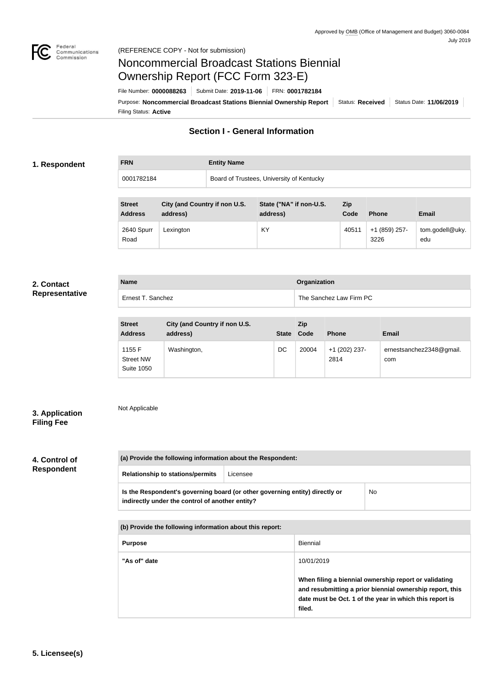

# Noncommercial Broadcast Stations Biennial Ownership Report (FCC Form 323-E)

Filing Status: **Active** Purpose: Noncommercial Broadcast Stations Biennial Ownership Report Status: Received Status Date: 11/06/2019 File Number: **0000088263** Submit Date: **2019-11-06** FRN: **0001782184**

# **Section I - General Information**

## **1. Respondent**

# **FRN Entity Name** 0001782184 Board of Trustees, University of Kentucky

| <b>Street</b><br><b>Address</b> | City (and Country if non U.S.<br>address) | State ("NA" if non-U.S.<br>address) | <b>Zip</b><br>Code | <b>Phone</b>          | <b>Email</b>           |
|---------------------------------|-------------------------------------------|-------------------------------------|--------------------|-----------------------|------------------------|
| 2640 Spurr<br>Road              | Lexington                                 | KY                                  | 40511              | +1 (859) 257-<br>3226 | tom.godell@uky.<br>edu |

## **2. Contact Representative**

| <b>Name</b>       | Organization            |  |
|-------------------|-------------------------|--|
| Ernest T. Sanchez | The Sanchez Law Firm PC |  |

| <b>Street</b><br><b>Address</b>                 | City (and Country if non U.S.<br>address) | <b>State</b> | <b>Zip</b><br>Code | <b>Phone</b>          | <b>Email</b>                    |
|-------------------------------------------------|-------------------------------------------|--------------|--------------------|-----------------------|---------------------------------|
| 1155 F<br><b>Street NW</b><br><b>Suite 1050</b> | Washington,                               | DC           | 20004              | +1 (202) 237-<br>2814 | ernestsanchez2348@gmail.<br>com |

## **3. Application Filing Fee**

# Not Applicable

# **4. Control of Respondent**

|                                         | (a) Provide the following information about the Respondent:                                                                    |          |    |  |  |
|-----------------------------------------|--------------------------------------------------------------------------------------------------------------------------------|----------|----|--|--|
| <b>Relationship to stations/permits</b> |                                                                                                                                | Licensee |    |  |  |
|                                         | Is the Respondent's governing board (or other governing entity) directly or<br>indirectly under the control of another entity? |          | No |  |  |

| (b) Provide the following information about this report: |                                                                                                                                                                                        |  |  |
|----------------------------------------------------------|----------------------------------------------------------------------------------------------------------------------------------------------------------------------------------------|--|--|
| <b>Purpose</b>                                           | Biennial                                                                                                                                                                               |  |  |
| "As of" date                                             | 10/01/2019                                                                                                                                                                             |  |  |
|                                                          | When filing a biennial ownership report or validating<br>and resubmitting a prior biennial ownership report, this<br>date must be Oct. 1 of the year in which this report is<br>filed. |  |  |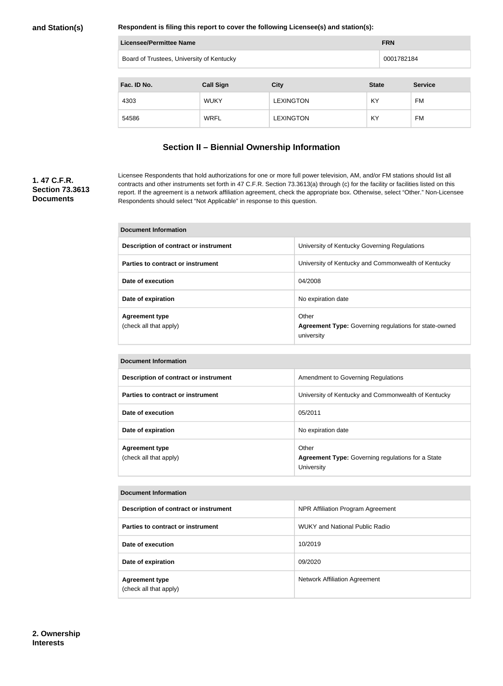**Respondent is filing this report to cover the following Licensee(s) and station(s):**

| Licensee/Permittee Name<br><b>FRN</b>     |                  |                  |              |  |                |
|-------------------------------------------|------------------|------------------|--------------|--|----------------|
| Board of Trustees, University of Kentucky |                  |                  |              |  | 0001782184     |
|                                           |                  |                  |              |  |                |
| Fac. ID No.                               | <b>Call Sign</b> | <b>City</b>      | <b>State</b> |  | <b>Service</b> |
| 4303                                      | <b>WUKY</b>      | <b>LEXINGTON</b> | KY           |  | FM             |
| 54586                                     | <b>WRFL</b>      | <b>LEXINGTON</b> | KY           |  | FM.            |

# **Section II – Biennial Ownership Information**

# **1. 47 C.F.R. Section 73.3613 Documents**

Licensee Respondents that hold authorizations for one or more full power television, AM, and/or FM stations should list all contracts and other instruments set forth in 47 C.F.R. Section 73.3613(a) through (c) for the facility or facilities listed on this report. If the agreement is a network affiliation agreement, check the appropriate box. Otherwise, select "Other." Non-Licensee Respondents should select "Not Applicable" in response to this question.

| <b>Document Information</b>                     |                                                                                     |  |  |
|-------------------------------------------------|-------------------------------------------------------------------------------------|--|--|
| Description of contract or instrument           | University of Kentucky Governing Regulations                                        |  |  |
| Parties to contract or instrument               | University of Kentucky and Commonwealth of Kentucky                                 |  |  |
| Date of execution                               | 04/2008                                                                             |  |  |
| Date of expiration                              | No expiration date                                                                  |  |  |
| <b>Agreement type</b><br>(check all that apply) | Other<br><b>Agreement Type: Governing regulations for state-owned</b><br>university |  |  |

| <b>Document Information</b>                     |                                                                                 |  |  |  |
|-------------------------------------------------|---------------------------------------------------------------------------------|--|--|--|
| Description of contract or instrument           | Amendment to Governing Regulations                                              |  |  |  |
| Parties to contract or instrument               | University of Kentucky and Commonwealth of Kentucky                             |  |  |  |
| Date of execution                               | 05/2011                                                                         |  |  |  |
| Date of expiration                              | No expiration date                                                              |  |  |  |
| <b>Agreement type</b><br>(check all that apply) | Other<br><b>Agreement Type:</b> Governing regulations for a State<br>University |  |  |  |

| <b>Document Information</b>                     |                                       |  |  |  |
|-------------------------------------------------|---------------------------------------|--|--|--|
| Description of contract or instrument           | NPR Affiliation Program Agreement     |  |  |  |
| Parties to contract or instrument               | <b>WUKY and National Public Radio</b> |  |  |  |
| Date of execution                               | 10/2019                               |  |  |  |
| Date of expiration                              | 09/2020                               |  |  |  |
| <b>Agreement type</b><br>(check all that apply) | <b>Network Affiliation Agreement</b>  |  |  |  |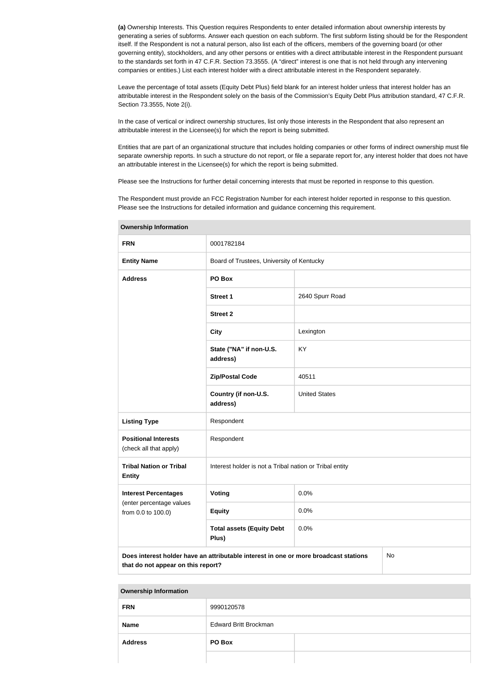**(a)** Ownership Interests. This Question requires Respondents to enter detailed information about ownership interests by generating a series of subforms. Answer each question on each subform. The first subform listing should be for the Respondent itself. If the Respondent is not a natural person, also list each of the officers, members of the governing board (or other governing entity), stockholders, and any other persons or entities with a direct attributable interest in the Respondent pursuant to the standards set forth in 47 C.F.R. Section 73.3555. (A "direct" interest is one that is not held through any intervening companies or entities.) List each interest holder with a direct attributable interest in the Respondent separately.

Leave the percentage of total assets (Equity Debt Plus) field blank for an interest holder unless that interest holder has an attributable interest in the Respondent solely on the basis of the Commission's Equity Debt Plus attribution standard, 47 C.F.R. Section 73.3555, Note 2(i).

In the case of vertical or indirect ownership structures, list only those interests in the Respondent that also represent an attributable interest in the Licensee(s) for which the report is being submitted.

Entities that are part of an organizational structure that includes holding companies or other forms of indirect ownership must file separate ownership reports. In such a structure do not report, or file a separate report for, any interest holder that does not have an attributable interest in the Licensee(s) for which the report is being submitted.

Please see the Instructions for further detail concerning interests that must be reported in response to this question.

The Respondent must provide an FCC Registration Number for each interest holder reported in response to this question. Please see the Instructions for detailed information and guidance concerning this requirement.

| Ownership information                                                                                                            |                                                         |                      |  |  |
|----------------------------------------------------------------------------------------------------------------------------------|---------------------------------------------------------|----------------------|--|--|
| <b>FRN</b>                                                                                                                       | 0001782184                                              |                      |  |  |
| <b>Entity Name</b>                                                                                                               | Board of Trustees, University of Kentucky               |                      |  |  |
| <b>Address</b>                                                                                                                   |                                                         |                      |  |  |
|                                                                                                                                  | <b>Street 1</b>                                         | 2640 Spurr Road      |  |  |
|                                                                                                                                  | <b>Street 2</b>                                         |                      |  |  |
|                                                                                                                                  | <b>City</b>                                             | Lexington            |  |  |
|                                                                                                                                  | State ("NA" if non-U.S.<br>address)                     | KY                   |  |  |
|                                                                                                                                  | <b>Zip/Postal Code</b>                                  | 40511                |  |  |
|                                                                                                                                  | Country (if non-U.S.<br>address)                        | <b>United States</b> |  |  |
| <b>Listing Type</b>                                                                                                              | Respondent                                              |                      |  |  |
| <b>Positional Interests</b><br>(check all that apply)                                                                            | Respondent                                              |                      |  |  |
| <b>Tribal Nation or Tribal</b><br><b>Entity</b>                                                                                  | Interest holder is not a Tribal nation or Tribal entity |                      |  |  |
| <b>Interest Percentages</b>                                                                                                      | Voting                                                  | 0.0%                 |  |  |
| (enter percentage values<br>from 0.0 to 100.0)                                                                                   | <b>Equity</b>                                           | 0.0%                 |  |  |
| <b>Total assets (Equity Debt</b><br>0.0%<br>Plus)                                                                                |                                                         |                      |  |  |
| Does interest holder have an attributable interest in one or more broadcast stations<br>No<br>that do not appear on this report? |                                                         |                      |  |  |

**Ownership Information**

| <b>FRN</b>               | 9990120578                   |  |
|--------------------------|------------------------------|--|
| <b>Name</b>              | <b>Edward Britt Brockman</b> |  |
| PO Box<br><b>Address</b> |                              |  |
|                          |                              |  |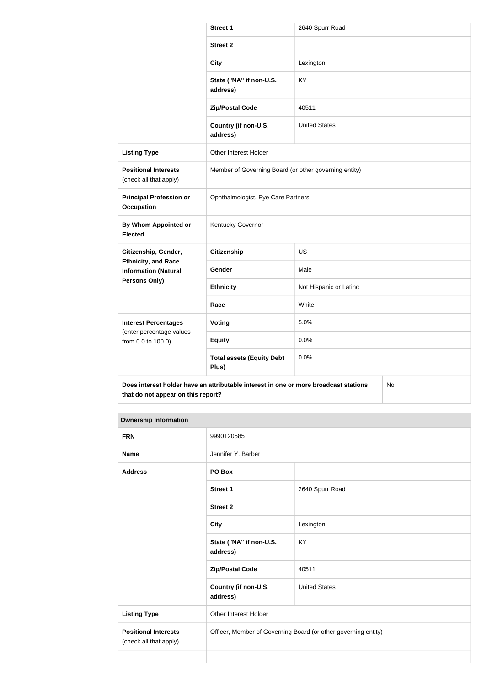|                                                                                                                                  | Street 1                                              | 2640 Spurr Road        |  |  |
|----------------------------------------------------------------------------------------------------------------------------------|-------------------------------------------------------|------------------------|--|--|
|                                                                                                                                  | <b>Street 2</b>                                       |                        |  |  |
|                                                                                                                                  | <b>City</b>                                           | Lexington              |  |  |
|                                                                                                                                  | State ("NA" if non-U.S.<br>address)                   | <b>KY</b>              |  |  |
|                                                                                                                                  | <b>Zip/Postal Code</b>                                | 40511                  |  |  |
|                                                                                                                                  | Country (if non-U.S.<br>address)                      | <b>United States</b>   |  |  |
| <b>Listing Type</b>                                                                                                              | Other Interest Holder                                 |                        |  |  |
| <b>Positional Interests</b><br>(check all that apply)                                                                            | Member of Governing Board (or other governing entity) |                        |  |  |
| <b>Principal Profession or</b><br>Occupation                                                                                     | Ophthalmologist, Eye Care Partners                    |                        |  |  |
| By Whom Appointed or<br><b>Elected</b>                                                                                           | Kentucky Governor                                     |                        |  |  |
| Citizenship, Gender,                                                                                                             | <b>Citizenship</b>                                    | <b>US</b>              |  |  |
| <b>Ethnicity, and Race</b><br><b>Information (Natural</b>                                                                        | Gender                                                | Male                   |  |  |
| Persons Only)                                                                                                                    | <b>Ethnicity</b>                                      | Not Hispanic or Latino |  |  |
|                                                                                                                                  | Race                                                  | White                  |  |  |
| <b>Interest Percentages</b>                                                                                                      | Voting                                                | 5.0%                   |  |  |
| (enter percentage values<br>from 0.0 to 100.0)                                                                                   | <b>Equity</b>                                         | 0.0%                   |  |  |
|                                                                                                                                  | <b>Total assets (Equity Debt</b><br>Plus)             | 0.0%                   |  |  |
| Does interest holder have an attributable interest in one or more broadcast stations<br>No<br>that do not appear on this report? |                                                       |                        |  |  |

| <b>FRN</b>                                            | 9990120585                                                     |                      |
|-------------------------------------------------------|----------------------------------------------------------------|----------------------|
| <b>Name</b>                                           | Jennifer Y. Barber                                             |                      |
| <b>Address</b>                                        | PO Box                                                         |                      |
|                                                       | <b>Street 1</b>                                                | 2640 Spurr Road      |
|                                                       | <b>Street 2</b>                                                |                      |
|                                                       | <b>City</b>                                                    | Lexington            |
|                                                       | State ("NA" if non-U.S.<br>address)                            | KY                   |
|                                                       | <b>Zip/Postal Code</b>                                         | 40511                |
|                                                       | Country (if non-U.S.<br>address)                               | <b>United States</b> |
| <b>Listing Type</b>                                   | Other Interest Holder                                          |                      |
| <b>Positional Interests</b><br>(check all that apply) | Officer, Member of Governing Board (or other governing entity) |                      |
|                                                       |                                                                |                      |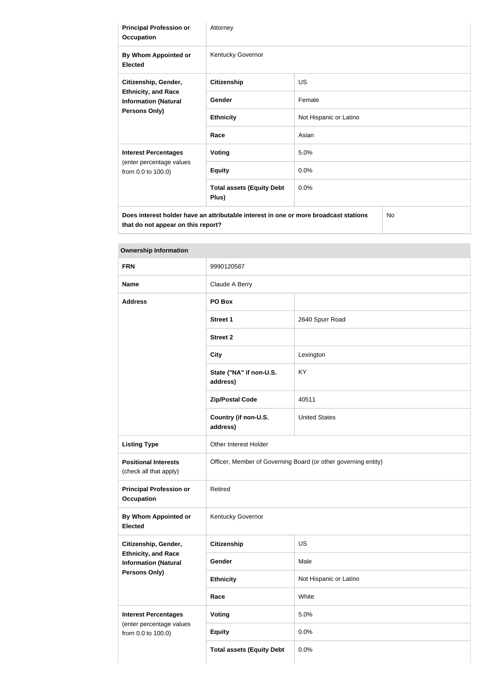| <b>Principal Profession or</b><br><b>Occupation</b>                                                | Attorney                                                                             |                        |  |
|----------------------------------------------------------------------------------------------------|--------------------------------------------------------------------------------------|------------------------|--|
| By Whom Appointed or<br><b>Elected</b>                                                             | Kentucky Governor                                                                    |                        |  |
| Citizenship, Gender,<br><b>Ethnicity, and Race</b><br><b>Information (Natural</b><br>Persons Only) | <b>Citizenship</b>                                                                   | US.                    |  |
|                                                                                                    | Gender                                                                               | Female                 |  |
|                                                                                                    | <b>Ethnicity</b>                                                                     | Not Hispanic or Latino |  |
|                                                                                                    | Race                                                                                 | Asian                  |  |
| <b>Interest Percentages</b>                                                                        | <b>Voting</b>                                                                        | 5.0%                   |  |
| (enter percentage values<br>from 0.0 to 100.0)                                                     | <b>Equity</b>                                                                        | 0.0%                   |  |
|                                                                                                    | <b>Total assets (Equity Debt</b><br>Plus)                                            | 0.0%                   |  |
| that do not appear on this report?                                                                 | Does interest holder have an attributable interest in one or more broadcast stations | <b>No</b>              |  |

| <b>FRN</b>                                                | 9990120587                                                     |                        |
|-----------------------------------------------------------|----------------------------------------------------------------|------------------------|
| <b>Name</b>                                               | Claude A Berry                                                 |                        |
| <b>Address</b>                                            | PO Box                                                         |                        |
|                                                           | <b>Street 1</b>                                                | 2640 Spurr Road        |
|                                                           | <b>Street 2</b>                                                |                        |
|                                                           | <b>City</b>                                                    | Lexington              |
|                                                           | State ("NA" if non-U.S.<br>address)                            | KY                     |
|                                                           | <b>Zip/Postal Code</b>                                         | 40511                  |
|                                                           | Country (if non-U.S.<br>address)                               | <b>United States</b>   |
| <b>Listing Type</b>                                       | Other Interest Holder                                          |                        |
| <b>Positional Interests</b><br>(check all that apply)     | Officer, Member of Governing Board (or other governing entity) |                        |
| <b>Principal Profession or</b><br><b>Occupation</b>       | Retired                                                        |                        |
| By Whom Appointed or<br><b>Elected</b>                    | Kentucky Governor                                              |                        |
| Citizenship, Gender,                                      | <b>Citizenship</b>                                             | US                     |
| <b>Ethnicity, and Race</b><br><b>Information (Natural</b> | Gender                                                         | Male                   |
| Persons Only)                                             | <b>Ethnicity</b>                                               | Not Hispanic or Latino |
|                                                           | Race                                                           | White                  |
| <b>Interest Percentages</b>                               | Voting                                                         | 5.0%                   |
| (enter percentage values<br>from 0.0 to 100.0)            | <b>Equity</b>                                                  | 0.0%                   |
|                                                           | <b>Total assets (Equity Debt</b>                               | 0.0%                   |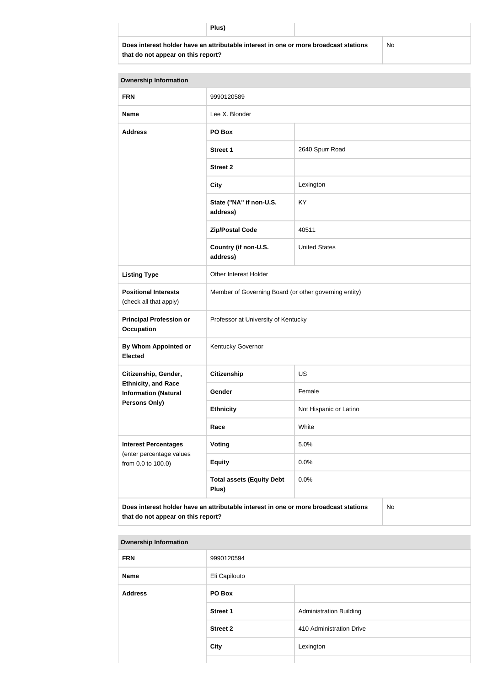**Does interest holder have an attributable interest in one or more broadcast stations that do not appear on this report?**

No

| <b>Ownership Information</b>                              |                                                                                      |                        |    |
|-----------------------------------------------------------|--------------------------------------------------------------------------------------|------------------------|----|
| <b>FRN</b>                                                | 9990120589                                                                           |                        |    |
| <b>Name</b>                                               | Lee X. Blonder                                                                       |                        |    |
| <b>Address</b>                                            | PO Box                                                                               |                        |    |
|                                                           | <b>Street 1</b>                                                                      | 2640 Spurr Road        |    |
|                                                           | <b>Street 2</b>                                                                      |                        |    |
|                                                           | <b>City</b>                                                                          | Lexington              |    |
|                                                           | State ("NA" if non-U.S.<br>address)                                                  | KY                     |    |
|                                                           | <b>Zip/Postal Code</b>                                                               | 40511                  |    |
|                                                           | Country (if non-U.S.<br>address)                                                     | <b>United States</b>   |    |
| <b>Listing Type</b>                                       | Other Interest Holder                                                                |                        |    |
| <b>Positional Interests</b><br>(check all that apply)     | Member of Governing Board (or other governing entity)                                |                        |    |
| <b>Principal Profession or</b><br><b>Occupation</b>       | Professor at University of Kentucky                                                  |                        |    |
| <b>By Whom Appointed or</b><br><b>Elected</b>             | Kentucky Governor                                                                    |                        |    |
| Citizenship, Gender,                                      | <b>Citizenship</b>                                                                   | <b>US</b>              |    |
| <b>Ethnicity, and Race</b><br><b>Information (Natural</b> | Gender                                                                               | Female                 |    |
| <b>Persons Only)</b>                                      | <b>Ethnicity</b>                                                                     | Not Hispanic or Latino |    |
|                                                           | Race                                                                                 | White                  |    |
| <b>Interest Percentages</b>                               | Voting                                                                               | 5.0%                   |    |
| (enter percentage values<br>from 0.0 to 100.0)            | <b>Equity</b>                                                                        | 0.0%                   |    |
|                                                           | <b>Total assets (Equity Debt</b><br>Plus)                                            | 0.0%                   |    |
| that do not appear on this report?                        | Does interest holder have an attributable interest in one or more broadcast stations |                        | No |

| <b>FRN</b>     | 9990120594      |                                |
|----------------|-----------------|--------------------------------|
| <b>Name</b>    | Eli Capilouto   |                                |
| <b>Address</b> | PO Box          |                                |
|                | <b>Street 1</b> | <b>Administration Building</b> |
|                | <b>Street 2</b> | 410 Administration Drive       |
|                | <b>City</b>     | Lexington                      |
|                |                 |                                |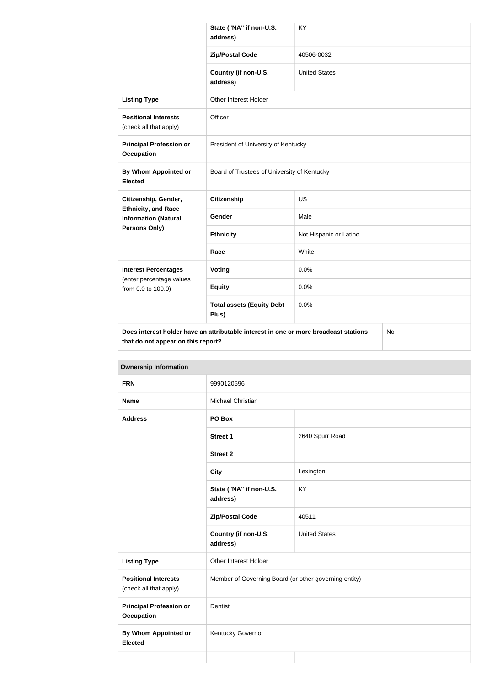|                                                           | State ("NA" if non-U.S.<br>address)                                                  | KY                     |    |
|-----------------------------------------------------------|--------------------------------------------------------------------------------------|------------------------|----|
|                                                           | <b>Zip/Postal Code</b>                                                               | 40506-0032             |    |
|                                                           | Country (if non-U.S.<br>address)                                                     | <b>United States</b>   |    |
| <b>Listing Type</b>                                       | Other Interest Holder                                                                |                        |    |
| <b>Positional Interests</b><br>(check all that apply)     | Officer                                                                              |                        |    |
| <b>Principal Profession or</b><br><b>Occupation</b>       | President of University of Kentucky                                                  |                        |    |
| <b>By Whom Appointed or</b><br><b>Elected</b>             | Board of Trustees of University of Kentucky                                          |                        |    |
| Citizenship, Gender,                                      | <b>Citizenship</b>                                                                   | <b>US</b>              |    |
| <b>Ethnicity, and Race</b><br><b>Information (Natural</b> | Gender                                                                               | Male                   |    |
| <b>Persons Only)</b>                                      | <b>Ethnicity</b>                                                                     | Not Hispanic or Latino |    |
|                                                           | Race                                                                                 | White                  |    |
| <b>Interest Percentages</b>                               | Voting                                                                               | 0.0%                   |    |
| (enter percentage values<br>from 0.0 to 100.0)            | <b>Equity</b>                                                                        | 0.0%                   |    |
|                                                           | <b>Total assets (Equity Debt</b><br>Plus)                                            | 0.0%                   |    |
| that do not appear on this report?                        | Does interest holder have an attributable interest in one or more broadcast stations |                        | No |

# **FRN** 9990120596 **Name** Michael Christian **Address PO Box Street 1** 2640 Spurr Road **Street 2 City** Lexington **State ("NA" if non-U.S. address)** KY **Zip/Postal Code** 40511 **Country (if non-U.S. address)** United States **Listing Type City Communist Communist Communist Communist Communist Communist Communist Communist Communist Communist Communist Communist Communist Communist Communist Communist Communist Communist Communist Communist C Positional Interests** (check all that apply) Member of Governing Board (or other governing entity) **Principal Profession or Occupation** Dentist **By Whom Appointed or Elected** Kentucky Governor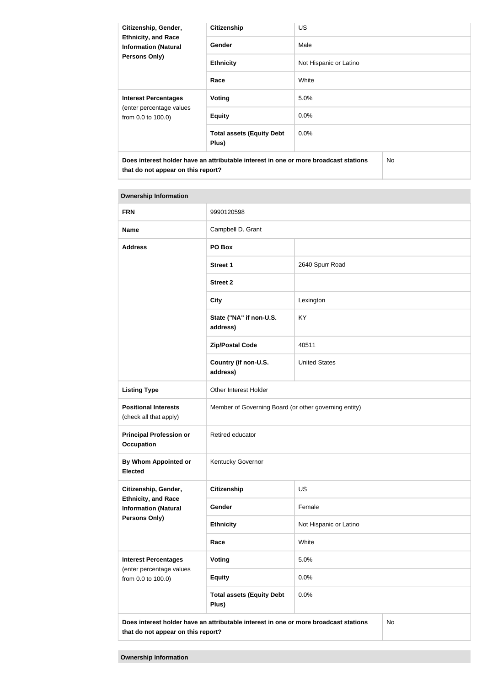| Citizenship, Gender,<br><b>Ethnicity, and Race</b><br><b>Information (Natural</b><br><b>Persons Only)</b> | <b>Citizenship</b>                        | <b>US</b>              |
|-----------------------------------------------------------------------------------------------------------|-------------------------------------------|------------------------|
|                                                                                                           | <b>Gender</b>                             | Male                   |
|                                                                                                           | <b>Ethnicity</b>                          | Not Hispanic or Latino |
|                                                                                                           | Race                                      | White                  |
| <b>Interest Percentages</b><br>(enter percentage values<br>from 0.0 to 100.0)                             | Voting                                    | 5.0%                   |
|                                                                                                           | <b>Equity</b>                             | 0.0%                   |
|                                                                                                           | <b>Total assets (Equity Debt</b><br>Plus) | $0.0\%$                |
| Does interest holder have an attributable interest in one or more broadcast stations                      |                                           | No                     |

**that do not appear on this report?**

| <b>FRN</b>                                                | 9990120598                                                                           |                        |    |
|-----------------------------------------------------------|--------------------------------------------------------------------------------------|------------------------|----|
| <b>Name</b>                                               | Campbell D. Grant                                                                    |                        |    |
| <b>Address</b>                                            | PO Box                                                                               |                        |    |
|                                                           | <b>Street 1</b>                                                                      | 2640 Spurr Road        |    |
|                                                           | <b>Street 2</b>                                                                      |                        |    |
|                                                           | <b>City</b>                                                                          | Lexington              |    |
|                                                           | State ("NA" if non-U.S.<br>address)                                                  | KY                     |    |
|                                                           | <b>Zip/Postal Code</b>                                                               | 40511                  |    |
|                                                           | Country (if non-U.S.<br>address)                                                     | <b>United States</b>   |    |
| <b>Listing Type</b>                                       | Other Interest Holder                                                                |                        |    |
| <b>Positional Interests</b><br>(check all that apply)     | Member of Governing Board (or other governing entity)                                |                        |    |
| <b>Principal Profession or</b><br><b>Occupation</b>       | Retired educator                                                                     |                        |    |
| <b>By Whom Appointed or</b><br><b>Elected</b>             | Kentucky Governor                                                                    |                        |    |
| Citizenship, Gender,                                      | <b>Citizenship</b>                                                                   | US                     |    |
| <b>Ethnicity, and Race</b><br><b>Information (Natural</b> | Gender                                                                               | Female                 |    |
| <b>Persons Only)</b>                                      | <b>Ethnicity</b>                                                                     | Not Hispanic or Latino |    |
|                                                           | Race                                                                                 | White                  |    |
| <b>Interest Percentages</b>                               | Voting                                                                               | 5.0%                   |    |
| (enter percentage values<br>from 0.0 to 100.0)            | <b>Equity</b>                                                                        | 0.0%                   |    |
|                                                           | <b>Total assets (Equity Debt</b><br>Plus)                                            | 0.0%                   |    |
| that do not appear on this report?                        | Does interest holder have an attributable interest in one or more broadcast stations |                        | No |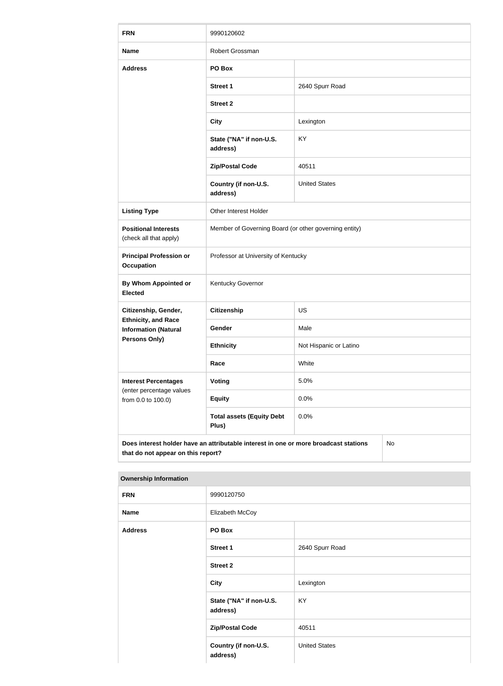| <b>FRN</b>                                                | 9990120602                                                                           |                        |    |
|-----------------------------------------------------------|--------------------------------------------------------------------------------------|------------------------|----|
| <b>Name</b>                                               | Robert Grossman                                                                      |                        |    |
| <b>Address</b>                                            | PO Box                                                                               |                        |    |
|                                                           | <b>Street 1</b>                                                                      | 2640 Spurr Road        |    |
|                                                           | <b>Street 2</b>                                                                      |                        |    |
|                                                           | <b>City</b>                                                                          | Lexington              |    |
|                                                           | State ("NA" if non-U.S.<br>address)                                                  | KY                     |    |
|                                                           | <b>Zip/Postal Code</b>                                                               | 40511                  |    |
|                                                           | Country (if non-U.S.<br>address)                                                     | <b>United States</b>   |    |
| <b>Listing Type</b>                                       | Other Interest Holder                                                                |                        |    |
| <b>Positional Interests</b><br>(check all that apply)     | Member of Governing Board (or other governing entity)                                |                        |    |
| <b>Principal Profession or</b><br>Occupation              | Professor at University of Kentucky                                                  |                        |    |
| <b>By Whom Appointed or</b><br><b>Elected</b>             | Kentucky Governor                                                                    |                        |    |
| Citizenship, Gender,                                      | <b>Citizenship</b>                                                                   | US                     |    |
| <b>Ethnicity, and Race</b><br><b>Information (Natural</b> | Gender                                                                               | Male                   |    |
| <b>Persons Only)</b>                                      | <b>Ethnicity</b>                                                                     | Not Hispanic or Latino |    |
|                                                           | Race                                                                                 | White                  |    |
| <b>Interest Percentages</b>                               | Voting                                                                               | 5.0%                   |    |
| (enter percentage values<br>from 0.0 to 100.0)            | <b>Equity</b>                                                                        | 0.0%                   |    |
|                                                           | <b>Total assets (Equity Debt</b><br>Plus)                                            | 0.0%                   |    |
| that do not appear on this report?                        | Does interest holder have an attributable interest in one or more broadcast stations |                        | No |

| <b>FRN</b>     | 9990120750                          |                      |
|----------------|-------------------------------------|----------------------|
| <b>Name</b>    | Elizabeth McCoy                     |                      |
| <b>Address</b> | PO Box                              |                      |
|                | <b>Street 1</b>                     | 2640 Spurr Road      |
|                | <b>Street 2</b>                     |                      |
|                | <b>City</b>                         | Lexington            |
|                | State ("NA" if non-U.S.<br>address) | KY                   |
|                | <b>Zip/Postal Code</b>              | 40511                |
|                | Country (if non-U.S.<br>address)    | <b>United States</b> |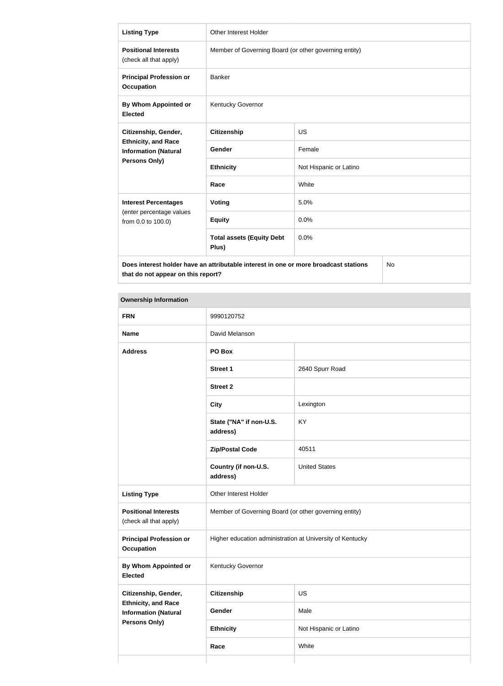| <b>Listing Type</b>                                       | Other Interest Holder                                                                |                        |    |
|-----------------------------------------------------------|--------------------------------------------------------------------------------------|------------------------|----|
| <b>Positional Interests</b><br>(check all that apply)     | Member of Governing Board (or other governing entity)                                |                        |    |
| <b>Principal Profession or</b><br><b>Occupation</b>       | Banker                                                                               |                        |    |
| <b>By Whom Appointed or</b><br><b>Elected</b>             | Kentucky Governor                                                                    |                        |    |
| Citizenship, Gender,                                      | <b>Citizenship</b>                                                                   | <b>US</b>              |    |
| <b>Ethnicity, and Race</b><br><b>Information (Natural</b> | Gender                                                                               | Female                 |    |
| Persons Only)                                             | <b>Ethnicity</b>                                                                     | Not Hispanic or Latino |    |
|                                                           | Race                                                                                 | White                  |    |
| <b>Interest Percentages</b>                               | <b>Voting</b>                                                                        | 5.0%                   |    |
| (enter percentage values<br>from 0.0 to 100.0)            | <b>Equity</b>                                                                        | 0.0%                   |    |
|                                                           | <b>Total assets (Equity Debt</b><br>Plus)                                            | 0.0%                   |    |
| that do not appear on this report?                        | Does interest holder have an attributable interest in one or more broadcast stations |                        | No |

| <b>FRN</b>                                                                        | 9990120752                                                |                        |  |
|-----------------------------------------------------------------------------------|-----------------------------------------------------------|------------------------|--|
| <b>Name</b>                                                                       | David Melanson                                            |                        |  |
| <b>Address</b>                                                                    | PO Box                                                    |                        |  |
|                                                                                   | <b>Street 1</b>                                           | 2640 Spurr Road        |  |
|                                                                                   | <b>Street 2</b>                                           |                        |  |
|                                                                                   | <b>City</b>                                               | Lexington              |  |
|                                                                                   | State ("NA" if non-U.S.<br>address)                       | KY                     |  |
|                                                                                   | <b>Zip/Postal Code</b>                                    | 40511                  |  |
|                                                                                   | Country (if non-U.S.<br>address)                          | <b>United States</b>   |  |
| <b>Listing Type</b>                                                               | Other Interest Holder                                     |                        |  |
| <b>Positional Interests</b><br>(check all that apply)                             | Member of Governing Board (or other governing entity)     |                        |  |
| <b>Principal Profession or</b><br><b>Occupation</b>                               | Higher education administration at University of Kentucky |                        |  |
| <b>By Whom Appointed or</b><br><b>Elected</b>                                     | Kentucky Governor                                         |                        |  |
| Citizenship, Gender,                                                              | <b>Citizenship</b>                                        | <b>US</b>              |  |
| <b>Ethnicity, and Race</b><br><b>Information (Natural</b><br><b>Persons Only)</b> | Gender                                                    | Male                   |  |
|                                                                                   | <b>Ethnicity</b>                                          | Not Hispanic or Latino |  |
|                                                                                   | Race                                                      | White                  |  |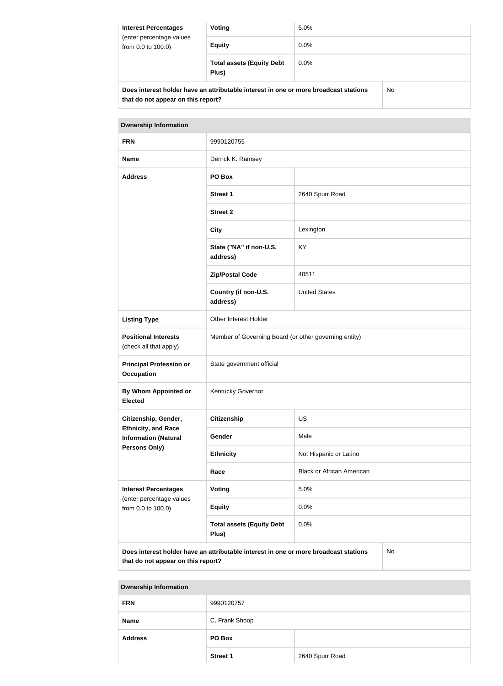| <b>Interest Percentages</b><br>(enter percentage values<br>from 0.0 to 100.0) | Voting                                                                               | 5.0%    |    |
|-------------------------------------------------------------------------------|--------------------------------------------------------------------------------------|---------|----|
|                                                                               | <b>Equity</b>                                                                        | $0.0\%$ |    |
|                                                                               | <b>Total assets (Equity Debt</b><br>Plus)                                            | $0.0\%$ |    |
|                                                                               | Does interest holder have an attributable interest in one or more broadcast stations |         | No |

| <b>Ownership Information</b>                              |                                                                                      |                                  |  |
|-----------------------------------------------------------|--------------------------------------------------------------------------------------|----------------------------------|--|
| <b>FRN</b>                                                | 9990120755                                                                           |                                  |  |
| <b>Name</b>                                               | Derrick K. Ramsey                                                                    |                                  |  |
| <b>Address</b>                                            | PO Box                                                                               |                                  |  |
|                                                           | Street 1                                                                             | 2640 Spurr Road                  |  |
|                                                           | <b>Street 2</b>                                                                      |                                  |  |
|                                                           | <b>City</b>                                                                          | Lexington                        |  |
|                                                           | State ("NA" if non-U.S.<br>address)                                                  | KY                               |  |
|                                                           | <b>Zip/Postal Code</b>                                                               | 40511                            |  |
|                                                           | Country (if non-U.S.<br>address)                                                     | <b>United States</b>             |  |
| <b>Listing Type</b>                                       | Other Interest Holder                                                                |                                  |  |
| <b>Positional Interests</b><br>(check all that apply)     | Member of Governing Board (or other governing entity)                                |                                  |  |
| <b>Principal Profession or</b><br>Occupation              | State government official                                                            |                                  |  |
| By Whom Appointed or<br><b>Elected</b>                    | Kentucky Governor                                                                    |                                  |  |
| Citizenship, Gender,                                      | <b>Citizenship</b>                                                                   | <b>US</b>                        |  |
| <b>Ethnicity, and Race</b><br><b>Information (Natural</b> | Gender                                                                               | Male                             |  |
| <b>Persons Only)</b>                                      | <b>Ethnicity</b>                                                                     | Not Hispanic or Latino           |  |
|                                                           | Race                                                                                 | <b>Black or African American</b> |  |
| <b>Interest Percentages</b>                               | Voting                                                                               | 5.0%                             |  |
| (enter percentage values<br>from 0.0 to 100.0)            | <b>Equity</b>                                                                        | 0.0%                             |  |
|                                                           | <b>Total assets (Equity Debt</b><br>Plus)                                            | 0.0%                             |  |
|                                                           | Deep interest helder have an attributeble interest in ano ar mare breadeast stations | $N_{\alpha}$                     |  |

**Does interest holder have an attributable interest in one or more broadcast stations that do not appear on this report?**

No

**Ownership Information FRN** 9990120757 **Name** C. Frank Shoop **Address PO Box** Street 1 2640 Spurr Road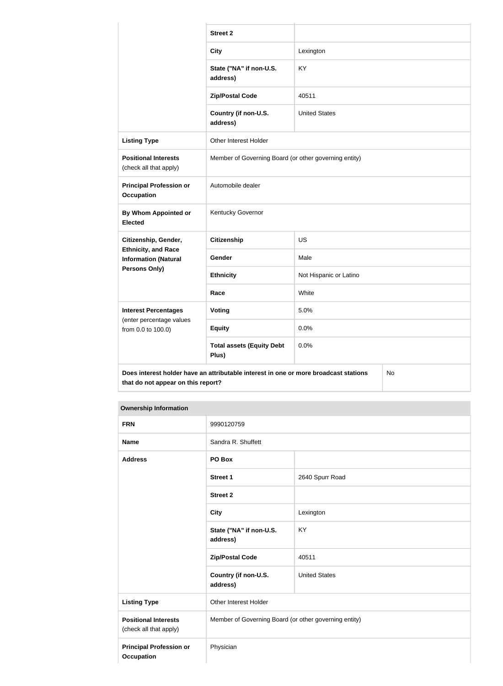|                                                           | <b>Street 2</b>                                                                      |                        |    |
|-----------------------------------------------------------|--------------------------------------------------------------------------------------|------------------------|----|
|                                                           | <b>City</b>                                                                          | Lexington              |    |
|                                                           | State ("NA" if non-U.S.<br>address)                                                  | <b>KY</b>              |    |
|                                                           | <b>Zip/Postal Code</b>                                                               | 40511                  |    |
|                                                           | Country (if non-U.S.<br>address)                                                     | <b>United States</b>   |    |
| <b>Listing Type</b>                                       | Other Interest Holder                                                                |                        |    |
| <b>Positional Interests</b><br>(check all that apply)     | Member of Governing Board (or other governing entity)                                |                        |    |
| <b>Principal Profession or</b><br>Occupation              | Automobile dealer                                                                    |                        |    |
| <b>By Whom Appointed or</b><br><b>Elected</b>             | Kentucky Governor                                                                    |                        |    |
| Citizenship, Gender,                                      | <b>Citizenship</b>                                                                   | <b>US</b>              |    |
| <b>Ethnicity, and Race</b><br><b>Information (Natural</b> | Gender                                                                               | Male                   |    |
| <b>Persons Only)</b>                                      | <b>Ethnicity</b>                                                                     | Not Hispanic or Latino |    |
|                                                           | Race                                                                                 | White                  |    |
| <b>Interest Percentages</b>                               | Voting                                                                               | 5.0%                   |    |
| (enter percentage values<br>from 0.0 to 100.0)            | <b>Equity</b>                                                                        | 0.0%                   |    |
|                                                           | <b>Total assets (Equity Debt</b><br>Plus)                                            | 0.0%                   |    |
| that do not appear on this report?                        | Does interest holder have an attributable interest in one or more broadcast stations |                        | No |

| <b>FRN</b>                                            | 9990120759                                            |                      |
|-------------------------------------------------------|-------------------------------------------------------|----------------------|
| <b>Name</b>                                           | Sandra R. Shuffett                                    |                      |
| <b>Address</b>                                        | PO Box                                                |                      |
|                                                       | <b>Street 1</b>                                       | 2640 Spurr Road      |
|                                                       | <b>Street 2</b>                                       |                      |
|                                                       | <b>City</b>                                           | Lexington            |
|                                                       | State ("NA" if non-U.S.<br>address)                   | <b>KY</b>            |
|                                                       | <b>Zip/Postal Code</b>                                | 40511                |
|                                                       | Country (if non-U.S.<br>address)                      | <b>United States</b> |
| <b>Listing Type</b>                                   | Other Interest Holder                                 |                      |
| <b>Positional Interests</b><br>(check all that apply) | Member of Governing Board (or other governing entity) |                      |
| <b>Principal Profession or</b><br><b>Occupation</b>   | Physician                                             |                      |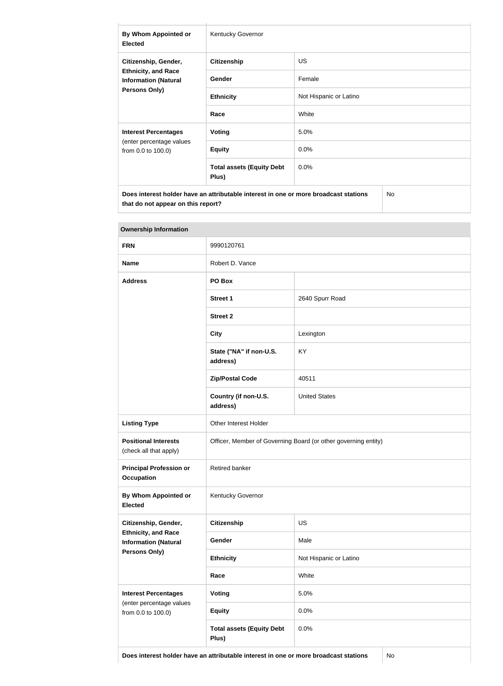| By Whom Appointed or<br><b>Elected</b>                                                                    | <b>Kentucky Governor</b>                  |                        |  |
|-----------------------------------------------------------------------------------------------------------|-------------------------------------------|------------------------|--|
| Citizenship, Gender,<br><b>Ethnicity, and Race</b><br><b>Information (Natural</b><br><b>Persons Only)</b> | <b>Citizenship</b>                        | US.                    |  |
|                                                                                                           | Gender                                    | Female                 |  |
|                                                                                                           | <b>Ethnicity</b>                          | Not Hispanic or Latino |  |
|                                                                                                           | Race                                      | White                  |  |
| <b>Interest Percentages</b>                                                                               | Voting                                    | 5.0%                   |  |
| (enter percentage values<br>from 0.0 to 100.0)                                                            | <b>Equity</b>                             | 0.0%                   |  |
|                                                                                                           | <b>Total assets (Equity Debt</b><br>Plus) | 0.0%                   |  |
| Does interest holder have an attributable interest in one or more broadcast stations<br>No                |                                           |                        |  |

| <b>Ownership Information</b>                              |                                                                |                        |  |
|-----------------------------------------------------------|----------------------------------------------------------------|------------------------|--|
| <b>FRN</b>                                                | 9990120761                                                     |                        |  |
| <b>Name</b>                                               | Robert D. Vance                                                |                        |  |
| <b>Address</b>                                            | PO Box                                                         |                        |  |
|                                                           | <b>Street 1</b>                                                | 2640 Spurr Road        |  |
|                                                           | <b>Street 2</b>                                                |                        |  |
|                                                           | <b>City</b>                                                    | Lexington              |  |
|                                                           | State ("NA" if non-U.S.<br>address)                            | KY                     |  |
|                                                           | <b>Zip/Postal Code</b>                                         | 40511                  |  |
|                                                           | Country (if non-U.S.<br>address)                               | <b>United States</b>   |  |
| <b>Listing Type</b>                                       | Other Interest Holder                                          |                        |  |
| <b>Positional Interests</b><br>(check all that apply)     | Officer, Member of Governing Board (or other governing entity) |                        |  |
| <b>Principal Profession or</b><br><b>Occupation</b>       | Retired banker                                                 |                        |  |
| By Whom Appointed or<br><b>Elected</b>                    | Kentucky Governor                                              |                        |  |
| Citizenship, Gender,                                      | Citizenship                                                    | <b>US</b>              |  |
| <b>Ethnicity, and Race</b><br><b>Information (Natural</b> | Gender                                                         | Male                   |  |
| Persons Only)                                             | <b>Ethnicity</b>                                               | Not Hispanic or Latino |  |
|                                                           | Race                                                           | White                  |  |
| <b>Interest Percentages</b>                               | <b>Voting</b>                                                  | 5.0%                   |  |
| (enter percentage values<br>from 0.0 to 100.0)            | <b>Equity</b>                                                  | 0.0%                   |  |
|                                                           | <b>Total assets (Equity Debt</b><br>Plus)                      | 0.0%                   |  |

**Does interest holder have an attributable interest in one or more broadcast stations** No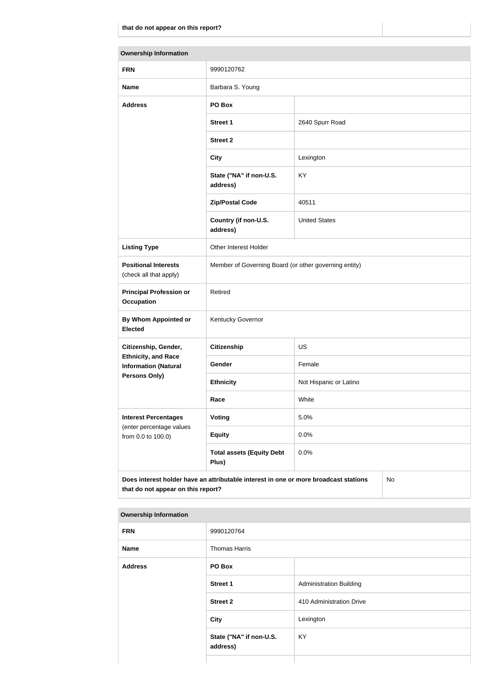| <b>Ownership Information</b>                              |                                                                                      |                        |    |
|-----------------------------------------------------------|--------------------------------------------------------------------------------------|------------------------|----|
| <b>FRN</b>                                                | 9990120762                                                                           |                        |    |
| <b>Name</b>                                               | Barbara S. Young                                                                     |                        |    |
| <b>Address</b>                                            | PO Box                                                                               |                        |    |
|                                                           | <b>Street 1</b>                                                                      | 2640 Spurr Road        |    |
|                                                           | <b>Street 2</b>                                                                      |                        |    |
|                                                           | <b>City</b>                                                                          | Lexington              |    |
|                                                           | State ("NA" if non-U.S.<br>address)                                                  | <b>KY</b>              |    |
|                                                           | <b>Zip/Postal Code</b>                                                               | 40511                  |    |
|                                                           | Country (if non-U.S.<br>address)                                                     | <b>United States</b>   |    |
| <b>Listing Type</b>                                       | Other Interest Holder                                                                |                        |    |
| <b>Positional Interests</b><br>(check all that apply)     | Member of Governing Board (or other governing entity)                                |                        |    |
| <b>Principal Profession or</b><br><b>Occupation</b>       | Retired                                                                              |                        |    |
| <b>By Whom Appointed or</b><br><b>Elected</b>             | Kentucky Governor                                                                    |                        |    |
| Citizenship, Gender,                                      | <b>Citizenship</b>                                                                   | <b>US</b>              |    |
| <b>Ethnicity, and Race</b><br><b>Information (Natural</b> | Gender                                                                               | Female                 |    |
| <b>Persons Only)</b>                                      | <b>Ethnicity</b>                                                                     | Not Hispanic or Latino |    |
|                                                           | Race                                                                                 | White                  |    |
| <b>Interest Percentages</b><br>(enter percentage values   | Voting                                                                               | 5.0%                   |    |
| from 0.0 to 100.0)                                        | <b>Equity</b>                                                                        | 0.0%                   |    |
|                                                           | <b>Total assets (Equity Debt</b><br>Plus)                                            | 0.0%                   |    |
| that do not appear on this report?                        | Does interest holder have an attributable interest in one or more broadcast stations |                        | No |

| .              |                                     |                                |
|----------------|-------------------------------------|--------------------------------|
| <b>FRN</b>     | 9990120764                          |                                |
| <b>Name</b>    | Thomas Harris                       |                                |
| <b>Address</b> | PO Box                              |                                |
|                | <b>Street 1</b>                     | <b>Administration Building</b> |
|                | <b>Street 2</b>                     | 410 Administration Drive       |
|                | <b>City</b>                         | Lexington                      |
|                | State ("NA" if non-U.S.<br>address) | KY                             |
|                |                                     |                                |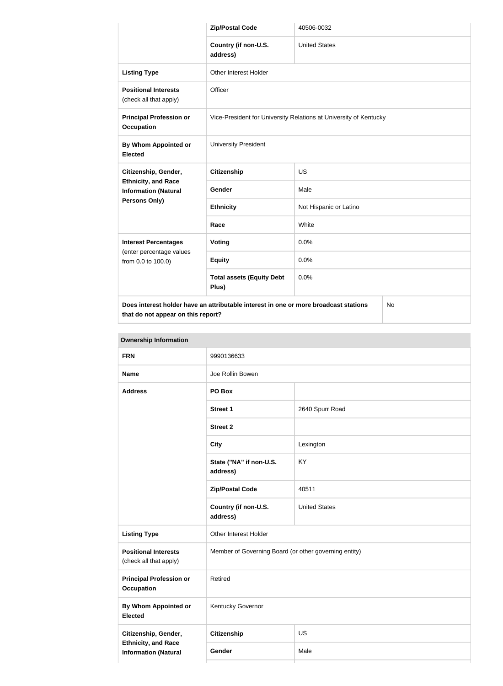|                                                           | <b>Zip/Postal Code</b>                                                               | 40506-0032             |  |
|-----------------------------------------------------------|--------------------------------------------------------------------------------------|------------------------|--|
|                                                           | Country (if non-U.S.<br>address)                                                     | <b>United States</b>   |  |
| <b>Listing Type</b>                                       | Other Interest Holder                                                                |                        |  |
| <b>Positional Interests</b><br>(check all that apply)     | Officer                                                                              |                        |  |
| <b>Principal Profession or</b><br><b>Occupation</b>       | Vice-President for University Relations at University of Kentucky                    |                        |  |
| By Whom Appointed or<br><b>Elected</b>                    | <b>University President</b>                                                          |                        |  |
| Citizenship, Gender,                                      | <b>Citizenship</b>                                                                   | <b>US</b>              |  |
| <b>Ethnicity, and Race</b><br><b>Information (Natural</b> | Gender                                                                               | Male                   |  |
| Persons Only)                                             | <b>Ethnicity</b>                                                                     | Not Hispanic or Latino |  |
|                                                           | Race                                                                                 | White                  |  |
| <b>Interest Percentages</b>                               | Voting                                                                               | 0.0%                   |  |
| (enter percentage values<br>from 0.0 to 100.0)            | <b>Equity</b>                                                                        | 0.0%                   |  |
|                                                           | <b>Total assets (Equity Debt</b><br>Plus)                                            | 0.0%                   |  |
|                                                           | Does interest holder have an attributable interest in one or more broadcast stations | No                     |  |

| <b>Ownership Information</b>                              |                                                       |                      |  |
|-----------------------------------------------------------|-------------------------------------------------------|----------------------|--|
| <b>FRN</b>                                                | 9990136633                                            |                      |  |
| <b>Name</b>                                               | Joe Rollin Bowen                                      |                      |  |
| <b>Address</b>                                            | PO Box                                                |                      |  |
|                                                           | Street 1                                              | 2640 Spurr Road      |  |
|                                                           | <b>Street 2</b>                                       |                      |  |
|                                                           | <b>City</b>                                           | Lexington            |  |
|                                                           | State ("NA" if non-U.S.<br>address)                   | KY                   |  |
|                                                           | <b>Zip/Postal Code</b>                                | 40511                |  |
|                                                           | Country (if non-U.S.<br>address)                      | <b>United States</b> |  |
| <b>Listing Type</b>                                       | Other Interest Holder                                 |                      |  |
| <b>Positional Interests</b><br>(check all that apply)     | Member of Governing Board (or other governing entity) |                      |  |
| <b>Principal Profession or</b><br>Occupation              | Retired                                               |                      |  |
| <b>By Whom Appointed or</b><br><b>Elected</b>             | Kentucky Governor                                     |                      |  |
| Citizenship, Gender,                                      | <b>Citizenship</b>                                    | US                   |  |
| <b>Ethnicity, and Race</b><br><b>Information (Natural</b> | Gender                                                | Male                 |  |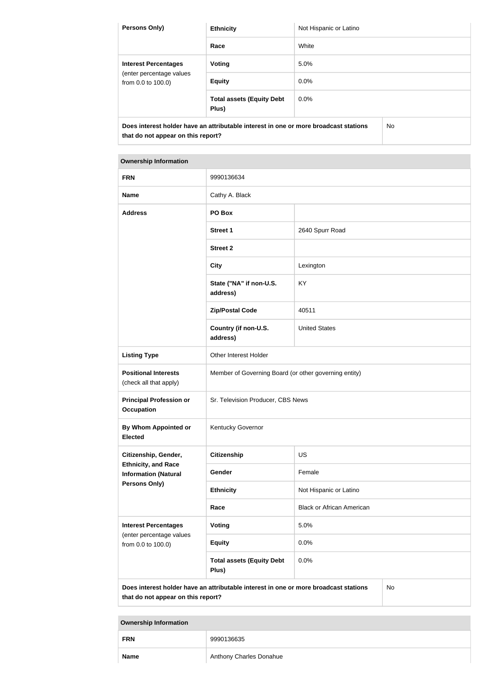| <b>Persons Only)</b>                                                                 | <b>Ethnicity</b>                          | Not Hispanic or Latino |    |
|--------------------------------------------------------------------------------------|-------------------------------------------|------------------------|----|
|                                                                                      | Race                                      | White                  |    |
| <b>Interest Percentages</b><br>(enter percentage values<br>from 0.0 to 100.0)        | Voting                                    | 5.0%                   |    |
|                                                                                      | <b>Equity</b>                             | $0.0\%$                |    |
|                                                                                      | <b>Total assets (Equity Debt</b><br>Plus) | $0.0\%$                |    |
| Does interest holder have an attributable interest in one or more broadcast stations |                                           |                        | No |

# **Ownership Information FRN** 9990136634 **Name** Cathy A. Black **Address PO Box Street 1** 2640 Spurr Road **Street 2 City City Lexington State ("NA" if non-U.S. address)** KY **Zip/Postal Code** 40511 **Country (if non-U.S. address)** United States **Listing Type City Communist Communist Communist Communist Communist Communist Communist Communist Communist Communist Communist Communist Communist Communist Communist Communist Communist Communist Communist Communist C Positional Interests** (check all that apply) Member of Governing Board (or other governing entity) **Principal Profession or Occupation** Sr. Television Producer, CBS News **By Whom Appointed or Elected** Kentucky Governor **Citizenship, Gender, Ethnicity, and Race Information (Natural Persons Only) Citizenship** US Gender **Female Ethnicity** Not Hispanic or Latino **Race** Black or African American **Interest Percentages** (enter percentage values from 0.0 to 100.0) **Voting** 5.0% **Equity** 0.0%

**Does interest holder have an attributable interest in one or more broadcast stations that do not appear on this report?**

**Total assets (Equity Debt** 

**Plus)**

No

**Ownership Information**

| <b>FRN</b>  | 9990136635              |  |  |
|-------------|-------------------------|--|--|
| <b>Name</b> | Anthony Charles Donahue |  |  |

0.0%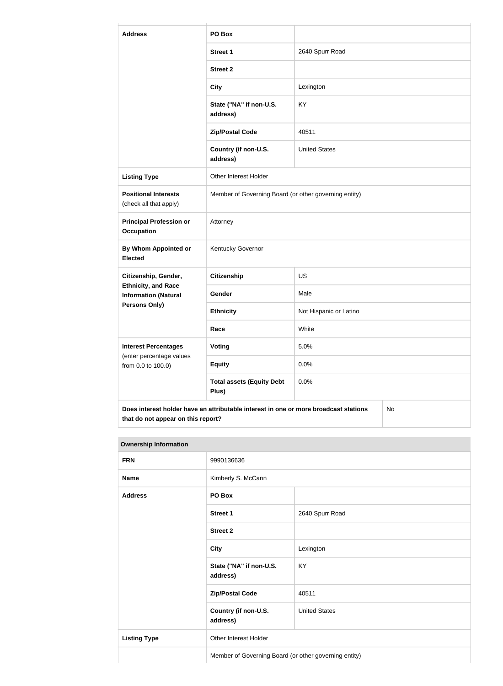| <b>Address</b>                                                                                                                   | PO Box                                                |                        |  |
|----------------------------------------------------------------------------------------------------------------------------------|-------------------------------------------------------|------------------------|--|
|                                                                                                                                  | <b>Street 1</b>                                       | 2640 Spurr Road        |  |
|                                                                                                                                  | <b>Street 2</b>                                       |                        |  |
|                                                                                                                                  | <b>City</b>                                           | Lexington              |  |
|                                                                                                                                  | State ("NA" if non-U.S.<br>address)                   | <b>KY</b>              |  |
|                                                                                                                                  | <b>Zip/Postal Code</b>                                | 40511                  |  |
|                                                                                                                                  | Country (if non-U.S.<br>address)                      | <b>United States</b>   |  |
| <b>Listing Type</b>                                                                                                              | Other Interest Holder                                 |                        |  |
| <b>Positional Interests</b><br>(check all that apply)                                                                            | Member of Governing Board (or other governing entity) |                        |  |
| <b>Principal Profession or</b><br><b>Occupation</b>                                                                              | Attorney                                              |                        |  |
| By Whom Appointed or<br><b>Elected</b>                                                                                           | Kentucky Governor                                     |                        |  |
| Citizenship, Gender,                                                                                                             | <b>Citizenship</b>                                    | <b>US</b>              |  |
| <b>Ethnicity, and Race</b><br><b>Information (Natural</b>                                                                        | Gender                                                | Male                   |  |
| Persons Only)                                                                                                                    | <b>Ethnicity</b>                                      | Not Hispanic or Latino |  |
|                                                                                                                                  | Race                                                  | White                  |  |
| <b>Interest Percentages</b><br>(enter percentage values                                                                          | Voting                                                | 5.0%                   |  |
| from 0.0 to 100.0)                                                                                                               | <b>Equity</b>                                         | 0.0%                   |  |
|                                                                                                                                  | <b>Total assets (Equity Debt</b><br>Plus)             | 0.0%                   |  |
| Does interest holder have an attributable interest in one or more broadcast stations<br>No<br>that do not appear on this report? |                                                       |                        |  |

| <b>FRN</b>          | 9990136636                          |                                                       |  |
|---------------------|-------------------------------------|-------------------------------------------------------|--|
| <b>Name</b>         | Kimberly S. McCann                  |                                                       |  |
| <b>Address</b>      | PO Box                              |                                                       |  |
|                     | Street 1                            | 2640 Spurr Road                                       |  |
|                     | <b>Street 2</b>                     |                                                       |  |
|                     | <b>City</b>                         | Lexington                                             |  |
|                     | State ("NA" if non-U.S.<br>address) | KY                                                    |  |
|                     | <b>Zip/Postal Code</b>              | 40511                                                 |  |
|                     | Country (if non-U.S.<br>address)    | <b>United States</b>                                  |  |
| <b>Listing Type</b> | Other Interest Holder               |                                                       |  |
|                     |                                     | Member of Governing Board (or other governing entity) |  |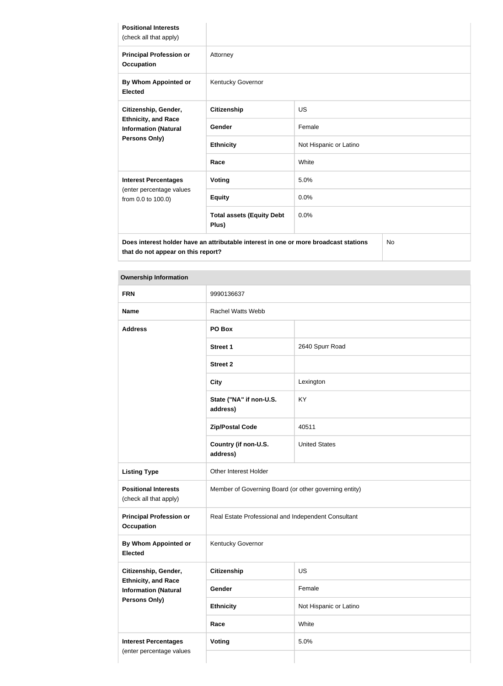| <b>Positional Interests</b><br>(check all that apply)                                              |                                                                                      |                        |    |
|----------------------------------------------------------------------------------------------------|--------------------------------------------------------------------------------------|------------------------|----|
| <b>Principal Profession or</b><br><b>Occupation</b>                                                | Attorney                                                                             |                        |    |
| By Whom Appointed or<br><b>Elected</b>                                                             | Kentucky Governor                                                                    |                        |    |
| Citizenship, Gender,<br><b>Ethnicity, and Race</b><br><b>Information (Natural</b><br>Persons Only) | <b>Citizenship</b>                                                                   | <b>US</b>              |    |
|                                                                                                    | Gender                                                                               | Female                 |    |
|                                                                                                    | <b>Ethnicity</b>                                                                     | Not Hispanic or Latino |    |
|                                                                                                    | Race                                                                                 | White                  |    |
| <b>Interest Percentages</b>                                                                        | <b>Voting</b>                                                                        | 5.0%                   |    |
| (enter percentage values<br>from 0.0 to 100.0)                                                     | <b>Equity</b>                                                                        | 0.0%                   |    |
|                                                                                                    | <b>Total assets (Equity Debt</b><br>Plus)                                            | 0.0%                   |    |
|                                                                                                    | Does interest holder have an attributable interest in one or more broadcast stations |                        | No |

**Does interest holder have an attributable interest in one or more broadcast stations that do not appear on this report?**

| <b>Ownership Information</b>                            |                                                       |                        |  |
|---------------------------------------------------------|-------------------------------------------------------|------------------------|--|
| <b>FRN</b>                                              | 9990136637                                            |                        |  |
| <b>Name</b>                                             | <b>Rachel Watts Webb</b>                              |                        |  |
| <b>Address</b>                                          | PO Box                                                |                        |  |
|                                                         | <b>Street 1</b>                                       | 2640 Spurr Road        |  |
|                                                         | <b>Street 2</b>                                       |                        |  |
|                                                         | <b>City</b>                                           | Lexington              |  |
|                                                         | State ("NA" if non-U.S.<br>address)                   | KY                     |  |
|                                                         | <b>Zip/Postal Code</b>                                | 40511                  |  |
|                                                         | Country (if non-U.S.<br>address)                      | <b>United States</b>   |  |
| <b>Listing Type</b>                                     | Other Interest Holder                                 |                        |  |
| <b>Positional Interests</b><br>(check all that apply)   | Member of Governing Board (or other governing entity) |                        |  |
| <b>Principal Profession or</b><br><b>Occupation</b>     | Real Estate Professional and Independent Consultant   |                        |  |
| <b>By Whom Appointed or</b><br><b>Elected</b>           | Kentucky Governor                                     |                        |  |
| Citizenship, Gender,<br><b>Ethnicity, and Race</b>      | <b>Citizenship</b>                                    | <b>US</b>              |  |
| <b>Information (Natural</b>                             | Gender                                                | Female                 |  |
| Persons Only)                                           | <b>Ethnicity</b>                                      | Not Hispanic or Latino |  |
|                                                         | Race                                                  | White                  |  |
| <b>Interest Percentages</b><br>(enter percentage values | <b>Voting</b>                                         | 5.0%                   |  |
|                                                         |                                                       |                        |  |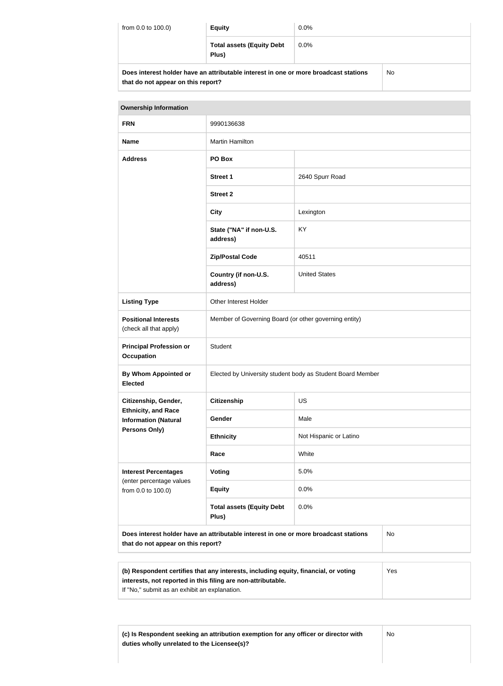| from 0.0 to 100.0)                                                                                                         | <b>Equity</b>                             | $0.0\%$ |     |
|----------------------------------------------------------------------------------------------------------------------------|-------------------------------------------|---------|-----|
|                                                                                                                            | <b>Total assets (Equity Debt</b><br>Plus) | $0.0\%$ |     |
| Does interest holder have an attributable interest in one or more broadcast stations<br>that do not appear on this report? |                                           |         | No. |

| <b>Ownership Information</b>                                                                                                            |                                                            |                        |  |  |
|-----------------------------------------------------------------------------------------------------------------------------------------|------------------------------------------------------------|------------------------|--|--|
| <b>FRN</b>                                                                                                                              | 9990136638                                                 |                        |  |  |
| <b>Name</b>                                                                                                                             | <b>Martin Hamilton</b>                                     |                        |  |  |
| <b>Address</b>                                                                                                                          | PO Box                                                     |                        |  |  |
|                                                                                                                                         | <b>Street 1</b>                                            | 2640 Spurr Road        |  |  |
|                                                                                                                                         | <b>Street 2</b>                                            |                        |  |  |
|                                                                                                                                         | <b>City</b>                                                | Lexington              |  |  |
|                                                                                                                                         | State ("NA" if non-U.S.<br>address)                        | KY                     |  |  |
|                                                                                                                                         | <b>Zip/Postal Code</b>                                     | 40511                  |  |  |
|                                                                                                                                         | Country (if non-U.S.<br>address)                           | <b>United States</b>   |  |  |
| <b>Listing Type</b>                                                                                                                     | Other Interest Holder                                      |                        |  |  |
| <b>Positional Interests</b><br>(check all that apply)                                                                                   | Member of Governing Board (or other governing entity)      |                        |  |  |
| <b>Principal Profession or</b><br><b>Occupation</b>                                                                                     | Student                                                    |                        |  |  |
| <b>By Whom Appointed or</b><br><b>Elected</b>                                                                                           | Elected by University student body as Student Board Member |                        |  |  |
| Citizenship, Gender,                                                                                                                    | <b>Citizenship</b>                                         | <b>US</b>              |  |  |
| <b>Ethnicity, and Race</b><br><b>Information (Natural</b>                                                                               | Gender                                                     | Male                   |  |  |
| Persons Only)                                                                                                                           | <b>Ethnicity</b>                                           | Not Hispanic or Latino |  |  |
|                                                                                                                                         | Race                                                       | White                  |  |  |
| <b>Interest Percentages</b><br>(enter percentage values                                                                                 | Voting                                                     | 5.0%                   |  |  |
| from 0.0 to 100.0)                                                                                                                      | <b>Equity</b>                                              | 0.0%                   |  |  |
|                                                                                                                                         | <b>Total assets (Equity Debt</b><br>Plus)                  | 0.0%                   |  |  |
| Does interest holder have an attributable interest in one or more broadcast stations<br><b>No</b><br>that do not appear on this report? |                                                            |                        |  |  |

| (b) Respondent certifies that any interests, including equity, financial, or voting | Yes |
|-------------------------------------------------------------------------------------|-----|
| interests, not reported in this filing are non-attributable.                        |     |
| If "No," submit as an exhibit an explanation.                                       |     |

**(c) Is Respondent seeking an attribution exemption for any officer or director with duties wholly unrelated to the Licensee(s)?**